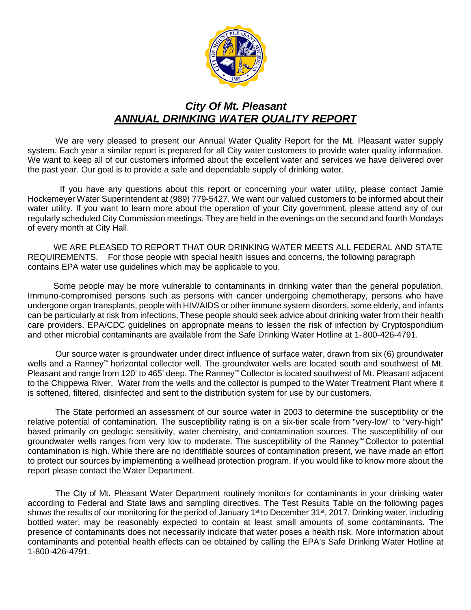

# *City Of Mt. Pleasant ANNUAL DRINKING WATER QUALITY REPORT*

We are very pleased to present our Annual Water Quality Report for the Mt. Pleasant water supply system. Each year a similar report is prepared for all City water customers to provide water quality information. We want to keep all of our customers informed about the excellent water and services we have delivered over the past year. Our goal is to provide a safe and dependable supply of drinking water.

If you have any questions about this report or concerning your water utility, please contact Jamie Hockemeyer Water Superintendent at (989) 779-5427. We want our valued customers to be informed about their water utility. If you want to learn more about the operation of your City government, please attend any of our regularly scheduled City Commission meetings. They are held in the evenings on the second and fourth Mondays of every month at City Hall.

WE ARE PLEASED TO REPORT THAT OUR DRINKING WATER MEETS ALL FEDERAL AND STATE REQUIREMENTS. For those people with special health issues and concerns, the following paragraph contains EPA water use guidelines which may be applicable to you.

Some people may be more vulnerable to contaminants in drinking water than the general population. Immuno-compromised persons such as persons with cancer undergoing chemotherapy, persons who have undergone organ transplants, people with HIV/AIDS or other immune system disorders, some elderly, and infants can be particularly at risk from infections. These people should seek advice about drinking water from their health care providers. EPA/CDC guidelines on appropriate means to lessen the risk of infection by Cryptosporidium and other microbial contaminants are available from the Safe Drinking Water Hotline at 1- 800-426-4791.

Our source water is groundwater under direct influence of surface water, drawn from six (6) groundwater wells and a Ranney™ horizontal collector well. The groundwater wells are located south and southwest of Mt. Pleasant and range from 120' to 465' deep. The Ranney™ Collector is located southwest of Mt. Pleasant adjacent to the Chippewa River. Water from the wells and the collector is pumped to the Water Treatment Plant where it is softened, filtered, disinfected and sent to the distribution system for use by our customers.

The State performed an assessment of our source water in 2003 to determine the susceptibility or the relative potential of contamination. The susceptibility rating is on a six-tier scale from "very-low" to "very-high" based primarily on geologic sensitivity, water chemistry, and contamination sources. The susceptibility of our groundwater wells ranges from very low to moderate. The susceptibility of the Ranney™ Collector to potential contamination is high. While there are no identifiable sources of contamination present, we have made an effort to protect our sources by implementing a wellhead protection program. If you would like to know more about the report please contact the Water Department.

The City of Mt. Pleasant Water Department routinely monitors for contaminants in your drinking water according to Federal and State laws and sampling directives. The Test Results Table on the following pages shows the results of our monitoring for the period of January 1<sup>st</sup> to December 31<sup>st</sup>, 2017. Drinking water, including bottled water, may be reasonably expected to contain at least small amounts of some contaminants. The presence of contaminants does not necessarily indicate that water poses a health risk. More information about contaminants and potential health effects can be obtained by calling the EPA's Safe Drinking Water Hotline at 1-800-426-4791.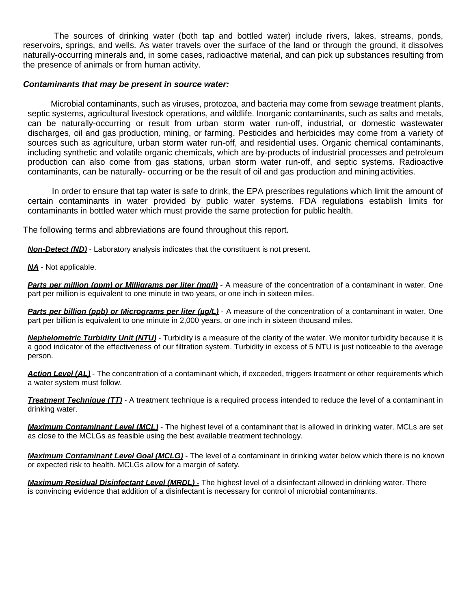The sources of drinking water (both tap and bottled water) include rivers, lakes, streams, ponds, reservoirs, springs, and wells. As water travels over the surface of the land or through the ground, it dissolves naturally-occurring minerals and, in some cases, radioactive material, and can pick up substances resulting from the presence of animals or from human activity.

#### *Contaminants that may be present in source water:*

Microbial contaminants, such as viruses, protozoa, and bacteria may come from sewage treatment plants, septic systems, agricultural livestock operations, and wildlife. Inorganic contaminants, such as salts and metals, can be naturally-occurring or result from urban storm water run-off, industrial, or domestic wastewater discharges, oil and gas production, mining, or farming. Pesticides and herbicides may come from a variety of sources such as agriculture, urban storm water run-off, and residential uses. Organic chemical contaminants, including synthetic and volatile organic chemicals, which are by-products of industrial processes and petroleum production can also come from gas stations, urban storm water run-off, and septic systems. Radioactive contaminants, can be naturally- occurring or be the result of oil and gas production and mining activities.

In order to ensure that tap water is safe to drink, the EPA prescribes regulations which limit the amount of certain contaminants in water provided by public water systems. FDA regulations establish limits for contaminants in bottled water which must provide the same protection for public health.

The following terms and abbreviations are found throughout this report.

*Non-Detect (ND)* - Laboratory analysis indicates that the constituent is not present.

*NA* - Not applicable.

*Parts per million (ppm) or Milligrams per liter (mg/l)* - A measure of the concentration of a contaminant in water. One part per million is equivalent to one minute in two years, or one inch in sixteen miles.

**Parts per billion (ppb) or Micrograms per liter (µg/L)** - A measure of the concentration of a contaminant in water. One part per billion is equivalent to one minute in 2,000 years, or one inch in sixteen thousand miles.

*Nephelometric Turbidity Unit (NTU)* - Turbidity is a measure of the clarity of the water. We monitor turbidity because it is a good indicator of the effectiveness of our filtration system. Turbidity in excess of 5 NTU is just noticeable to the average person.

*Action Level (AL)* - The concentration of a contaminant which, if exceeded, triggers treatment or other requirements which a water system must follow.

*Treatment Technique (TT)* - A treatment technique is a required process intended to reduce the level of a contaminant in drinking water.

*Maximum Contaminant Level (MCL)* - The highest level of a contaminant that is allowed in drinking water. MCLs are set as close to the MCLGs as feasible using the best available treatment technology.

*Maximum Contaminant Level Goal (MCLG)* - The level of a contaminant in drinking water below which there is no known or expected risk to health. MCLGs allow for a margin of safety.

*Maximum Residual Disinfectant Level (MRDL) -* The highest level of a disinfectant allowed in drinking water. There is convincing evidence that addition of a disinfectant is necessary for control of microbial contaminants.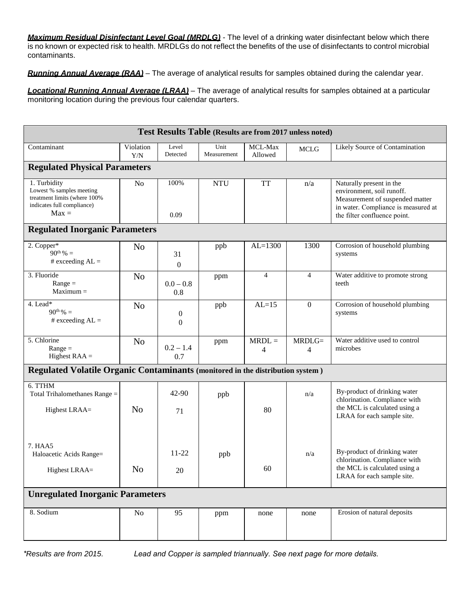*Maximum Residual Disinfectant Level Goal (MRDLG) -* The level of a drinking water disinfectant below which there is no known or expected risk to health. MRDLGs do not reflect the benefits of the use of disinfectants to control microbial contaminants.

*Running Annual Average (RAA)* – The average of analytical results for samples obtained during the calendar year.

*Locational Running Annual Average (LRAA)* – The average of analytical results for samples obtained at a particular monitoring location during the previous four calendar quarters.

| Test Results Table (Results are from 2017 unless noted)                                                           |                  |                                  |                     |                    |                            |                                                                                                                                                                 |  |  |  |
|-------------------------------------------------------------------------------------------------------------------|------------------|----------------------------------|---------------------|--------------------|----------------------------|-----------------------------------------------------------------------------------------------------------------------------------------------------------------|--|--|--|
| Contaminant                                                                                                       | Violation<br>Y/N | Level<br>Detected                | Unit<br>Measurement | MCL-Max<br>Allowed | MCLG                       | Likely Source of Contamination                                                                                                                                  |  |  |  |
| <b>Regulated Physical Parameters</b>                                                                              |                  |                                  |                     |                    |                            |                                                                                                                                                                 |  |  |  |
| 1. Turbidity<br>Lowest % samples meeting<br>treatment limits (where 100%<br>indicates full compliance)<br>$Max =$ | N <sub>o</sub>   | 100%<br>0.09                     | <b>NTU</b>          | <b>TT</b>          | n/a                        | Naturally present in the<br>environment, soil runoff.<br>Measurement of suspended matter<br>in water. Compliance is measured at<br>the filter confluence point. |  |  |  |
| <b>Regulated Inorganic Parameters</b>                                                                             |                  |                                  |                     |                    |                            |                                                                                                                                                                 |  |  |  |
| 2. Copper*<br>$90^{th}\%$ =<br># exceeding $AL =$                                                                 | N <sub>o</sub>   | 31<br>$\boldsymbol{0}$           | ppb                 | $AL=1300$          | 1300                       | Corrosion of household plumbing<br>systems                                                                                                                      |  |  |  |
| 3. Fluoride<br>$Range =$<br>$Maximum =$                                                                           | N <sub>o</sub>   | $0.0 - 0.8$<br>0.8               | ppm                 | $\overline{4}$     | $\overline{4}$             | Water additive to promote strong<br>teeth                                                                                                                       |  |  |  |
| 4. Lead*<br>$90^{th}\% =$<br># exceeding $AL =$                                                                   | N <sub>o</sub>   | $\boldsymbol{0}$<br>$\mathbf{0}$ | ppb                 | $AL=15$            | $\mathbf{0}$               | Corrosion of household plumbing<br>systems                                                                                                                      |  |  |  |
| 5. Chlorine<br>$Range =$<br>Highest $RAA =$                                                                       | N <sub>o</sub>   | $0.2 - 1.4$<br>0.7               | ppm                 | $MRDL =$<br>4      | $MRDLG=$<br>$\overline{4}$ | Water additive used to control<br>microbes                                                                                                                      |  |  |  |
| Regulated Volatile Organic Contaminants (monitored in the distribution system)                                    |                  |                                  |                     |                    |                            |                                                                                                                                                                 |  |  |  |
| 6. TTHM<br>Total Trihalomethanes Range =<br>Highest LRAA=                                                         | N <sub>o</sub>   | $42 - 90$<br>71                  | ppb                 | 80                 | n/a                        | By-product of drinking water<br>chlorination. Compliance with<br>the MCL is calculated using a<br>LRAA for each sample site.                                    |  |  |  |
| 7. HAA5<br>Haloacetic Acids Range=<br>Highest LRAA=                                                               | N <sub>o</sub>   | $11 - 22$<br>$20\,$              | ppb                 | 60                 | n/a                        | By-product of drinking water<br>chlorination. Compliance with<br>the MCL is calculated using a<br>LRAA for each sample site.                                    |  |  |  |
| <b>Unregulated Inorganic Parameters</b>                                                                           |                  |                                  |                     |                    |                            |                                                                                                                                                                 |  |  |  |
| 8. Sodium                                                                                                         | No               | 95                               | ppm                 | none               | none                       | Erosion of natural deposits                                                                                                                                     |  |  |  |

*\*Results are from 2015. Lead and Copper is sampled triannually. See next page for more details.*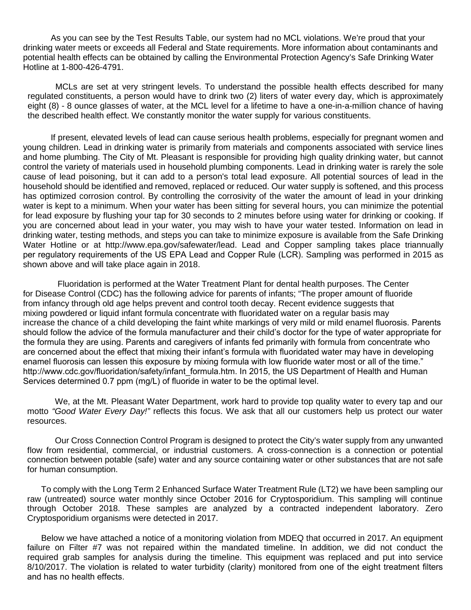As you can see by the Test Results Table, our system had no MCL violations. We're proud that your drinking water meets or exceeds all Federal and State requirements. More information about contaminants and potential health effects can be obtained by calling the Environmental Protection Agency's Safe Drinking Water Hotline at 1-800-426-4791.

MCLs are set at very stringent levels. To understand the possible health effects described for many regulated constituents, a person would have to drink two (2) liters of water every day, which is approximately eight (8) - 8 ounce glasses of water, at the MCL level for a lifetime to have a one-in-a-million chance of having the described health effect. We constantly monitor the water supply for various constituents.

If present, elevated levels of lead can cause serious health problems, especially for pregnant women and young children. Lead in drinking water is primarily from materials and components associated with service lines and home plumbing. The City of Mt. Pleasant is responsible for providing high quality drinking water, but cannot control the variety of materials used in household plumbing components. Lead in drinking water is rarely the sole cause of lead poisoning, but it can add to a person's total lead exposure. All potential sources of lead in the household should be identified and removed, replaced or reduced. Our water supply is softened, and this process has optimized corrosion control. By controlling the corrosivity of the water the amount of lead in your drinking water is kept to a minimum. When your water has been sitting for several hours, you can minimize the potential for lead exposure by flushing your tap for 30 seconds to 2 minutes before using water for drinking or cooking. If you are concerned about lead in your water, you may wish to have your water tested. Information on lead in drinking water, testing methods, and steps you can take to minimize exposure is available from the Safe Drinking Water Hotline or a[t http://www.epa.gov/safewater/lead.](http://www.epa.gov/safewater/lead) Lead and Copper sampling takes place triannually per regulatory requirements of the US EPA Lead and Copper Rule (LCR). Sampling was performed in 2015 as shown above and will take place again in 2018.

Fluoridation is performed at the Water Treatment Plant for dental health purposes. The Center for Disease Control (CDC) has the following advice for parents of infants; "The proper amount of fluoride from infancy through old age helps prevent and control tooth decay. Recent evidence suggests that mixing powdered or liquid infant formula concentrate with fluoridated water on a regular basis may increase the chance of a child developing the faint white markings of very mild or mild enamel fluorosis. Parents should follow the advice of the formula manufacturer and their child's doctor for the type of water appropriate for the formula they are using. Parents and caregivers of infants fed primarily with formula from concentrate who are concerned about the effect that mixing their infant's formula with fluoridated water may have in developing enamel fluorosis can lessen this exposure by [mixing formula with low fluoride water most or all of the](http://www.cdc.gov/fluoridation/safety/infant_formula.htm) time." http://www.cdc.gov/fluoridation/safety/infant\_formula.htm. In 2015, the US Department of Health and Human Services determined 0.7 ppm (mg/L) of fluoride in water to be the optimal level.

We, at the Mt. Pleasant Water Department, work hard to provide top quality water to every tap and our motto *"Good Water Every Day!"* reflects this focus. We ask that all our customers help us protect our water resources.

Our Cross Connection Control Program is designed to protect the City's water supply from any unwanted flow from residential, commercial, or industrial customers. A cross-connection is a connection or potential connection between potable (safe) water and any source containing water or other substances that are not safe for human consumption.

To comply with the Long Term 2 Enhanced Surface Water Treatment Rule (LT2) we have been sampling our raw (untreated) source water monthly since October 2016 for Cryptosporidium. This sampling will continue through October 2018. These samples are analyzed by a contracted independent laboratory. Zero Cryptosporidium organisms were detected in 2017.

Below we have attached a notice of a monitoring violation from MDEQ that occurred in 2017. An equipment failure on Filter #7 was not repaired within the mandated timeline. In addition, we did not conduct the required grab samples for analysis during the timeline. This equipment was replaced and put into service 8/10/2017. The violation is related to water turbidity (clarity) monitored from one of the eight treatment filters and has no health effects.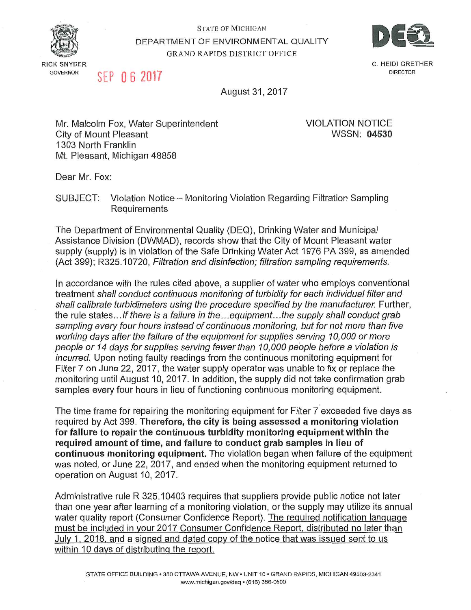

**GOVERNOR** 

**STATE OF MICHIGAN** DEPARTMENT OF ENVIRONMENTAL QUALITY **GRAND RAPIDS DISTRICT OFFICE** 



SEP 06 2017

C. HEIDI GRETHER **DIRECTOR** 

August 31, 2017

Mr. Malcolm Fox, Water Superintendent **City of Mount Pleasant** 1303 North Franklin Mt. Pleasant, Michigan 48858

**VIOLATION NOTICE WSSN: 04530** 

Dear Mr. Fox:

**SUBJECT:** Violation Notice - Monitoring Violation Regarding Filtration Sampling Requirements

The Department of Environmental Quality (DEQ), Drinking Water and Municipal Assistance Division (DWMAD), records show that the City of Mount Pleasant water supply (supply) is in violation of the Safe Drinking Water Act 1976 PA 399, as amended (Act 399); R325.10720, Filtration and disinfection; filtration sampling requirements.

In accordance with the rules cited above, a supplier of water who employs conventional treatment shall conduct continuous monitoring of turbidity for each individual filter and shall calibrate turbidimeters using the procedure specified by the manufacturer. Further, the rule states... If there is a failure in the...equipment...the supply shall conduct grab sampling every four hours instead of continuous monitoring, but for not more than five working days after the failure of the equipment for supplies serving 10,000 or more people or 14 days for supplies serving fewer than 10,000 people before a violation is incurred. Upon noting faulty readings from the continuous monitoring equipment for Filter 7 on June 22, 2017, the water supply operator was unable to fix or replace the monitoring until August 10, 2017. In addition, the supply did not take confirmation grab samples every four hours in lieu of functioning continuous monitoring equipment.

The time frame for repairing the monitoring equipment for Filter 7 exceeded five days as required by Act 399. Therefore, the city is being assessed a monitoring violation for failure to repair the continuous turbidity monitoring equipment within the required amount of time, and failure to conduct grab samples in lieu of continuous monitoring equipment. The violation began when failure of the equipment was noted, or June 22, 2017, and ended when the monitoring equipment returned to operation on August 10, 2017.

Administrative rule R 325.10403 requires that suppliers provide public notice not later than one year after learning of a monitoring violation, or the supply may utilize its annual water quality report (Consumer Confidence Report). The required notification language must be included in your 2017 Consumer Confidence Report, distributed no later than July 1, 2018, and a signed and dated copy of the notice that was issued sent to us within 10 days of distributing the report.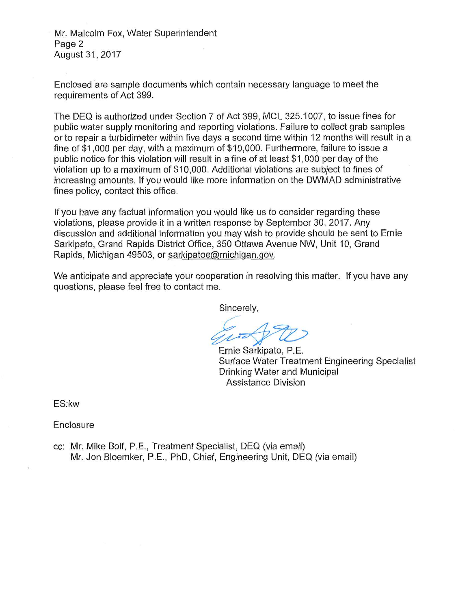Mr. Malcolm Fox, Water Superintendent Page 2 August 31, 2017

Enclosed are sample documents which contain necessary language to meet the requirements of Act 399.

The DEQ is authorized under Section 7 of Act 399, MCL 325.1007, to issue fines for public water supply monitoring and reporting violations. Failure to collect grab samples or to repair a turbidimeter within five days a second time within 12 months will result in a fine of \$1,000 per day, with a maximum of \$10,000. Furthermore, failure to issue a public notice for this violation will result in a fine of at least \$1,000 per day of the violation up to a maximum of \$10,000. Additional violations are subject to fines of increasing amounts. If you would like more information on the DWMAD administrative fines policy, contact this office.

If you have any factual information you would like us to consider regarding these violations, please provide it in a written response by September 30, 2017. Any discussion and additional information you may wish to provide should be sent to Ernie Sarkipato, Grand Rapids District Office, 350 Ottawa Avenue NW, Unit 10, Grand Rapids, Michigan 49503, or sarkipatoe@michigan.gov.

We anticipate and appreciate your cooperation in resolving this matter. If you have any questions, please feel free to contact me.

Sincerely,

Ernie Sarkipato, P.E. Surface Water Treatment Engineering Specialist Drinking Water and Municipal **Assistance Division** 

ES:kw

Enclosure

cc: Mr. Mike Bolf, P.E., Treatment Specialist, DEQ (via email) Mr. Jon Bloemker, P.E., PhD, Chief, Engineering Unit, DEQ (via email)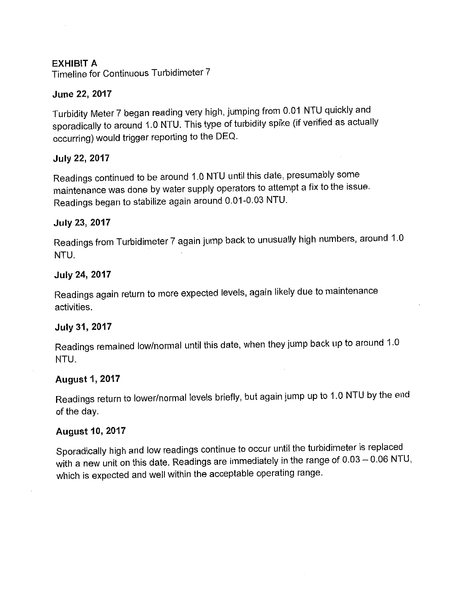# **EXHIBIT A**

Timeline for Continuous Turbidimeter 7

# June 22, 2017

Turbidity Meter 7 began reading very high, jumping from 0.01 NTU quickly and sporadically to around 1.0 NTU. This type of turbidity spike (if verified as actually occurring) would trigger reporting to the DEQ.

## **July 22, 2017**

Readings continued to be around 1.0 NTU until this date, presumably some maintenance was done by water supply operators to attempt a fix to the issue. Readings began to stabilize again around 0.01-0.03 NTU.

## **July 23, 2017**

Readings from Turbidimeter 7 again jump back to unusually high numbers, around 1.0 NTU.

## July 24, 2017

Readings again return to more expected levels, again likely due to maintenance activities.

#### July 31, 2017

Readings remained low/normal until this date, when they jump back up to around 1.0 NTU.

#### **August 1, 2017**

Readings return to lower/normal levels briefly, but again jump up to 1.0 NTU by the end of the day.

#### **August 10, 2017**

Sporadically high and low readings continue to occur until the turbidimeter is replaced with a new unit on this date. Readings are immediately in the range of  $0.03 - 0.06$  NTU, which is expected and well within the acceptable operating range.